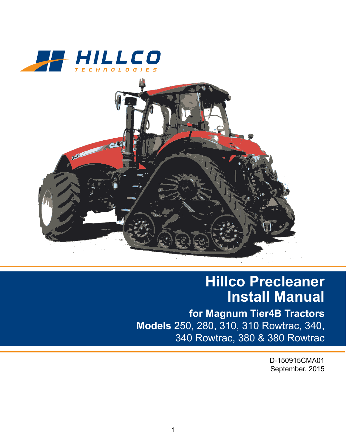



## **Hillco Precleaner Install Manual**

**for Magnum Tier4B Tractors Models** 250, 280, 310, 310 Rowtrac, 340, 340 Rowtrac, 380 & 380 Rowtrac

> D-150915CMA01 September, 2015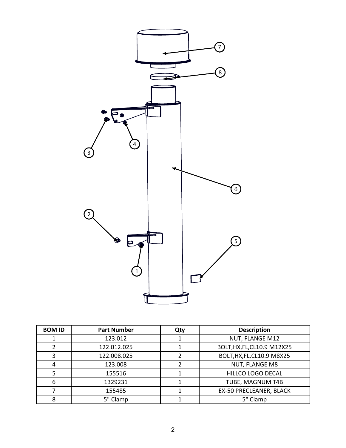

| <b>BOM ID</b> | <b>Part Number</b> | Qty | <b>Description</b>          |
|---------------|--------------------|-----|-----------------------------|
|               | 123.012            |     | NUT, FLANGE M12             |
|               | 122.012.025        |     | BOLT, HX, FL, CL10.9 M12X25 |
| 3             | 122.008.025        |     | BOLT, HX, FL, CL10.9 M8X25  |
| 4             | 123.008            |     | NUT, FLANGE M8              |
| 5             | 155516             |     | HILLCO LOGO DECAL           |
| 6             | 1329231            |     | TUBE, MAGNUM T4B            |
|               | 155485             |     | EX-50 PRECLEANER, BLACK     |
| 8             | 5" Clamp           |     | 5" Clamp                    |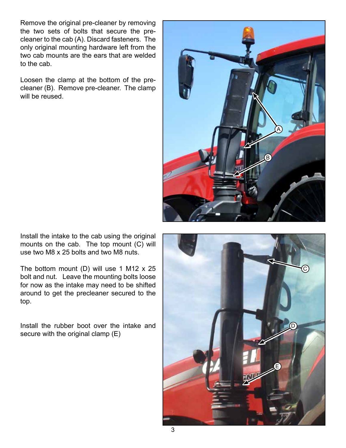Remove the original pre-cleaner by removing the two sets of bolts that secure the precleaner to the cab (A). Discard fasteners. The only original mounting hardware left from the two cab mounts are the ears that are welded to the cab.

Loosen the clamp at the bottom of the precleaner (B). Remove pre-cleaner. The clamp will be reused.



Install the intake to the cab using the original mounts on the cab. The top mount (C) will use two M8 x 25 bolts and two M8 nuts.

The bottom mount (D) will use 1 M12  $\times$  25 bolt and nut. Leave the mounting bolts loose for now as the intake may need to be shifted around to get the precleaner secured to the top.

Install the rubber boot over the intake and secure with the original clamp (E)